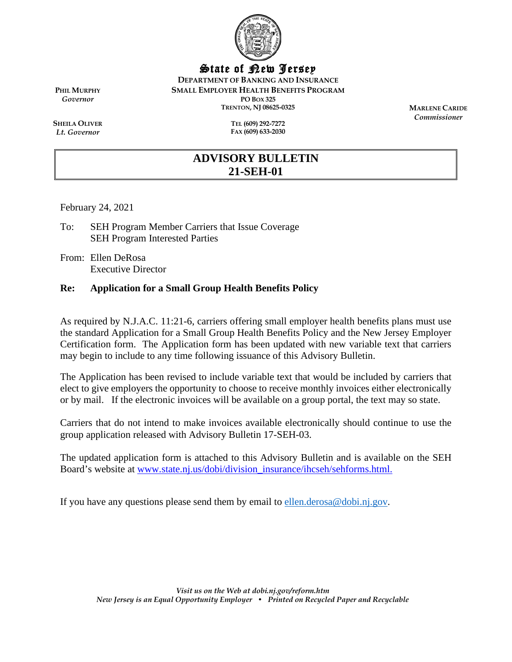

State of New Jersey

**DEPARTMENT OF BANKING AND INSURANCE**

**SMALL EMPLOYER HEALTH BENEFITS PROGRAM**

**PO BOX 325 TRENTON, NJ 08625-0325**

> **TEL (609) 292-7272 FAX (609) 633-2030**

**MARLENE CARIDE** *Commissioner*

**PHIL MURPHY** *Governor*

**SHEILA OLIVER** *Lt. Governor*

# **ADVISORY BULLETIN 21-SEH-01**

February 24, 2021

- To: SEH Program Member Carriers that Issue Coverage SEH Program Interested Parties
- From: Ellen DeRosa Executive Director

### **Re: Application for a Small Group Health Benefits Policy**

As required by N.J.A.C. 11:21-6, carriers offering small employer health benefits plans must use the standard Application for a Small Group Health Benefits Policy and the New Jersey Employer Certification form. The Application form has been updated with new variable text that carriers may begin to include to any time following issuance of this Advisory Bulletin.

The Application has been revised to include variable text that would be included by carriers that elect to give employers the opportunity to choose to receive monthly invoices either electronically or by mail. If the electronic invoices will be available on a group portal, the text may so state.

Carriers that do not intend to make invoices available electronically should continue to use the group application released with Advisory Bulletin 17-SEH-03.

The updated application form is attached to this Advisory Bulletin and is available on the SEH Board's website at [www.state.nj.us/dobi/division\\_insurance/ihcseh/sehforms.html.](http://www.state.nj.us/dobi/division_insurance/ihcseh/sehforms.html)

If you have any questions please send them by email to [ellen.derosa@dobi.nj.gov.](mailto:ellen.derosa@dobi.nj.gov)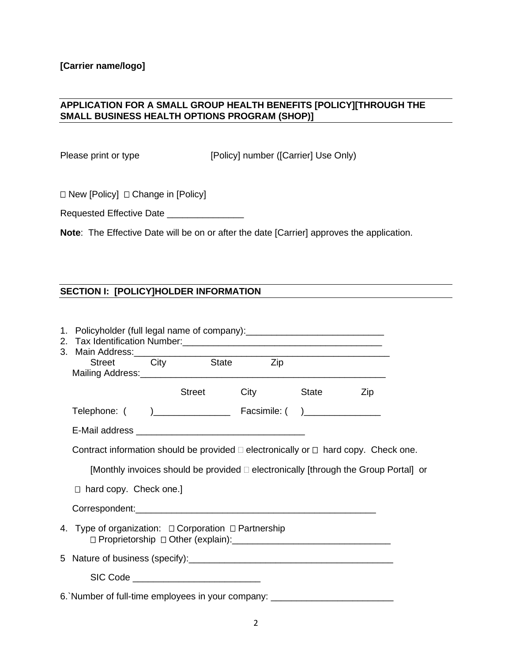### **APPLICATION FOR A SMALL GROUP HEALTH BENEFITS [POLICY][THROUGH THE SMALL BUSINESS HEALTH OPTIONS PROGRAM (SHOP)]**

Please print or type [Policy] number ([Carrier] Use Only)

 $\Box$  New [Policy]  $\Box$  Change in [Policy]

Requested Effective Date \_\_\_\_\_\_\_\_\_\_\_\_\_\_\_\_\_\_

**Note**: The Effective Date will be on or after the date [Carrier] approves the application.

## **SECTION I: [POLICY]HOLDER INFORMATION**

| 1. Policyholder (full legal name of company): __________________________________              |                                          |                       |                                                                                     |  |
|-----------------------------------------------------------------------------------------------|------------------------------------------|-----------------------|-------------------------------------------------------------------------------------|--|
| 3. Main Address:<br>Street City State Zip                                                     |                                          |                       |                                                                                     |  |
|                                                                                               |                                          | Street City State Zip |                                                                                     |  |
|                                                                                               |                                          |                       |                                                                                     |  |
|                                                                                               |                                          |                       |                                                                                     |  |
| Contract information should be provided $\Box$ electronically or $\Box$ hard copy. Check one. |                                          |                       |                                                                                     |  |
|                                                                                               |                                          |                       | [Monthly invoices should be provided □ electronically [through the Group Portal] or |  |
| $\Box$ hard copy. Check one.]                                                                 |                                          |                       |                                                                                     |  |
|                                                                                               |                                          |                       |                                                                                     |  |
| 4. Type of organization: $\Box$ Corporation $\Box$ Partnership                                |                                          |                       |                                                                                     |  |
|                                                                                               |                                          |                       |                                                                                     |  |
|                                                                                               | SIC Code _______________________________ |                       |                                                                                     |  |
| 6. Number of full-time employees in your company: ______________________________              |                                          |                       |                                                                                     |  |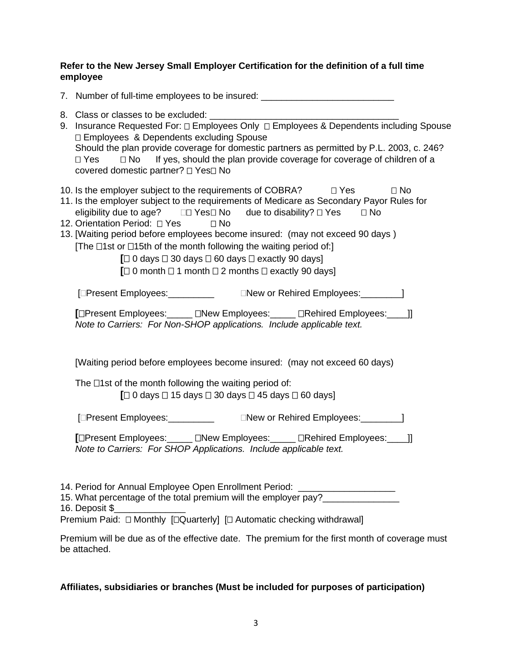### **Refer to the New Jersey Small Employer Certification for the definition of a full time employee**

| 7. Number of full-time employees to be insured: ________________________________                                                                                                                                                                                                                                                                                                                                                                                                                                                         |
|------------------------------------------------------------------------------------------------------------------------------------------------------------------------------------------------------------------------------------------------------------------------------------------------------------------------------------------------------------------------------------------------------------------------------------------------------------------------------------------------------------------------------------------|
| 8. Class or classes to be excluded: ______<br>9. Insurance Requested For: $\Box$ Employees Only $\Box$ Employees & Dependents including Spouse<br>□ Employees & Dependents excluding Spouse<br>Should the plan provide coverage for domestic partners as permitted by P.L. 2003, c. 246?<br>If yes, should the plan provide coverage for coverage of children of a<br>$\square$ No<br>$\Box$ Yes<br>covered domestic partner? □ Yes□ No                                                                                                  |
| 10. Is the employer subject to the requirements of COBRA? $\Box$ Yes<br>$\square$ No<br>11. Is the employer subject to the requirements of Medicare as Secondary Payor Rules for<br>12. Orientation Period: 0 Yes 0 No<br>13. [Waiting period before employees become insured: (may not exceed 90 days)<br>[The $\Box$ 1st or $\Box$ 15th of the month following the waiting period of:]<br>$\Box$ 0 days $\Box$ 30 days $\Box$ 60 days $\Box$ exactly 90 days]<br>$\Box$ 0 month $\Box$ 1 month $\Box$ 2 months $\Box$ exactly 90 days] |
|                                                                                                                                                                                                                                                                                                                                                                                                                                                                                                                                          |
| [□Present Employees: _____ □New Employees: ____ □Rehired Employees: ___ ]]<br>Note to Carriers: For Non-SHOP applications. Include applicable text.                                                                                                                                                                                                                                                                                                                                                                                      |
| [Waiting period before employees become insured: (may not exceed 60 days)                                                                                                                                                                                                                                                                                                                                                                                                                                                                |
| The $\Box$ 1st of the month following the waiting period of:<br>$\Box$ 0 days $\Box$ 15 days $\Box$ 30 days $\Box$ 45 days $\Box$ 60 days]                                                                                                                                                                                                                                                                                                                                                                                               |
| [OPresent Employees: Change of Rehired Employees: CPresent Employees:                                                                                                                                                                                                                                                                                                                                                                                                                                                                    |
| [□Present Employees: _____ □New Employees: ____ □Rehired Employees: ___ ]]<br>Note to Carriers: For SHOP Applications. Include applicable text.                                                                                                                                                                                                                                                                                                                                                                                          |
| 14. Period for Annual Employee Open Enrollment Period: _________________________<br>15. What percentage of the total premium will the employer pay?_________________<br>16. Deposit \$<br>Premium Paid: □ Monthly [□ Quarterly] [□ Automatic checking withdrawal]                                                                                                                                                                                                                                                                        |
| Premium will be due as of the effective date. The premium for the first month of coverage must<br>be attached.                                                                                                                                                                                                                                                                                                                                                                                                                           |

## **Affiliates, subsidiaries or branches (Must be included for purposes of participation)**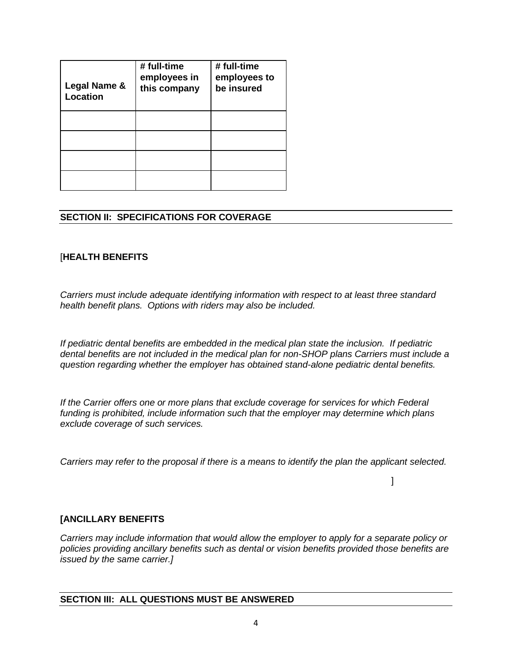| Legal Name &<br><b>Location</b> | # full-time<br>employees in<br>this company | # full-time<br>employees to<br>be insured |
|---------------------------------|---------------------------------------------|-------------------------------------------|
|                                 |                                             |                                           |
|                                 |                                             |                                           |
|                                 |                                             |                                           |
|                                 |                                             |                                           |

#### **SECTION II: SPECIFICATIONS FOR COVERAGE**

#### [**HEALTH BENEFITS**

*Carriers must include adequate identifying information with respect to at least three standard health benefit plans. Options with riders may also be included.*

*If pediatric dental benefits are embedded in the medical plan state the inclusion. If pediatric dental benefits are not included in the medical plan for non-SHOP plans Carriers must include a question regarding whether the employer has obtained stand-alone pediatric dental benefits.*

*If the Carrier offers one or more plans that exclude coverage for services for which Federal funding is prohibited, include information such that the employer may determine which plans exclude coverage of such services.*

*Carriers may refer to the proposal if there is a means to identify the plan the applicant selected.*

]

#### **[ANCILLARY BENEFITS**

*Carriers may include information that would allow the employer to apply for a separate policy or policies providing ancillary benefits such as dental or vision benefits provided those benefits are issued by the same carrier.]*

#### **SECTION III: ALL QUESTIONS MUST BE ANSWERED**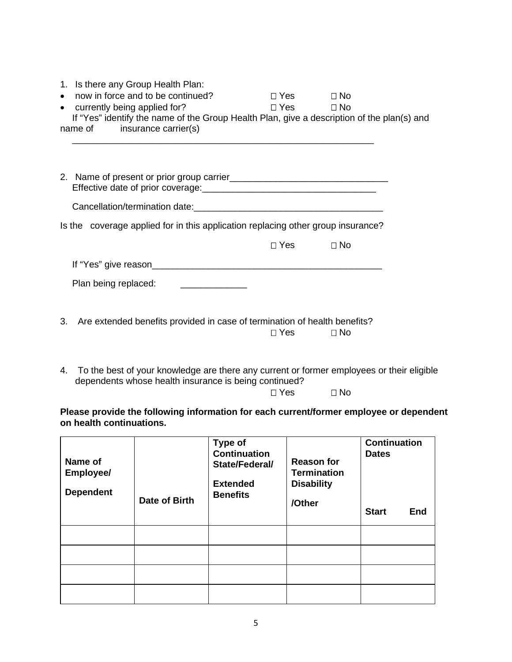| $\bullet$<br>$\bullet$ | 1. Is there any Group Health Plan:<br>now in force and to be continued?<br>currently being applied for?<br>If "Yes" identify the name of the Group Health Plan, give a description of the plan(s) and<br>name of insurance carrier(s) | $\Box$ Yes $\Box$ No<br>$\square$ Yes $\square$ No |           |
|------------------------|---------------------------------------------------------------------------------------------------------------------------------------------------------------------------------------------------------------------------------------|----------------------------------------------------|-----------|
|                        |                                                                                                                                                                                                                                       |                                                    |           |
|                        |                                                                                                                                                                                                                                       |                                                    |           |
|                        | Is the coverage applied for in this application replacing other group insurance?                                                                                                                                                      |                                                    |           |
|                        |                                                                                                                                                                                                                                       | $\Box$ Yes $\Box$                                  | $\Box$ No |
|                        | If "Yes" give reason                                                                                                                                                                                                                  |                                                    |           |
|                        | Plan being replaced:<br><u> 1989 - Jan Samuel Barbara, político e provincia e a filosofono de la provincia e a filosofono de la provincia</u>                                                                                         |                                                    |           |
| 3.                     | Are extended benefits provided in case of termination of health benefits?                                                                                                                                                             | $\Box$ Yes $\Box$ No                               |           |

4. To the best of your knowledge are there any current or former employees or their eligible dependents whose health insurance is being continued?

Yes No

**Please provide the following information for each current/former employee or dependent on health continuations.**

| Name of<br>Employee/<br><b>Dependent</b> | Date of Birth | <b>Type of</b><br><b>Continuation</b><br>State/Federal/<br><b>Extended</b><br><b>Benefits</b> | <b>Reason for</b><br><b>Termination</b><br><b>Disability</b><br>/Other | <b>Continuation</b><br><b>Dates</b><br><b>Start</b><br><b>End</b> |
|------------------------------------------|---------------|-----------------------------------------------------------------------------------------------|------------------------------------------------------------------------|-------------------------------------------------------------------|
|                                          |               |                                                                                               |                                                                        |                                                                   |
|                                          |               |                                                                                               |                                                                        |                                                                   |
|                                          |               |                                                                                               |                                                                        |                                                                   |
|                                          |               |                                                                                               |                                                                        |                                                                   |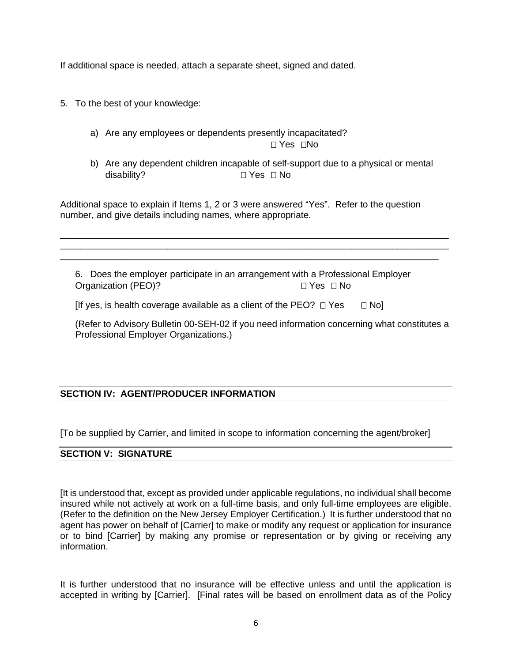If additional space is needed, attach a separate sheet, signed and dated.

- 5. To the best of your knowledge:
	- a) Are any employees or dependents presently incapacitated?  $\sqcap$  Yes  $\sqcap$ No
	- b) Are any dependent children incapable of self-support due to a physical or mental disability? □ Yes □ No

Additional space to explain if Items 1, 2 or 3 were answered "Yes". Refer to the question number, and give details including names, where appropriate.

\_\_\_\_\_\_\_\_\_\_\_\_\_\_\_\_\_\_\_\_\_\_\_\_\_\_\_\_\_\_\_\_\_\_\_\_\_\_\_\_\_\_\_\_\_\_\_\_\_\_\_\_\_\_\_\_\_\_\_\_\_\_\_\_\_\_\_\_\_\_\_\_\_\_\_\_ \_\_\_\_\_\_\_\_\_\_\_\_\_\_\_\_\_\_\_\_\_\_\_\_\_\_\_\_\_\_\_\_\_\_\_\_\_\_\_\_\_\_\_\_\_\_\_\_\_\_\_\_\_\_\_\_\_\_\_\_\_\_\_\_\_\_\_\_\_\_\_\_\_\_\_\_ \_\_\_\_\_\_\_\_\_\_\_\_\_\_\_\_\_\_\_\_\_\_\_\_\_\_\_\_\_\_\_\_\_\_\_\_\_\_\_\_\_\_\_\_\_\_\_\_\_\_\_\_\_\_\_\_\_\_\_\_\_\_\_\_\_\_\_\_\_\_\_\_\_\_

6. Does the employer participate in an arrangement with a Professional Employer Organization (PEO)? Ves □ No

[If yes, is health coverage available as a client of the PEO?  $\Box$  Yes  $\Box$  No]

(Refer to Advisory Bulletin 00-SEH-02 if you need information concerning what constitutes a Professional Employer Organizations.)

### **SECTION IV: AGENT/PRODUCER INFORMATION**

[To be supplied by Carrier, and limited in scope to information concerning the agent/broker]

#### **SECTION V: SIGNATURE**

[It is understood that, except as provided under applicable regulations, no individual shall become insured while not actively at work on a full-time basis, and only full-time employees are eligible. (Refer to the definition on the New Jersey Employer Certification.) It is further understood that no agent has power on behalf of [Carrier] to make or modify any request or application for insurance or to bind [Carrier] by making any promise or representation or by giving or receiving any information.

It is further understood that no insurance will be effective unless and until the application is accepted in writing by [Carrier]. [Final rates will be based on enrollment data as of the Policy